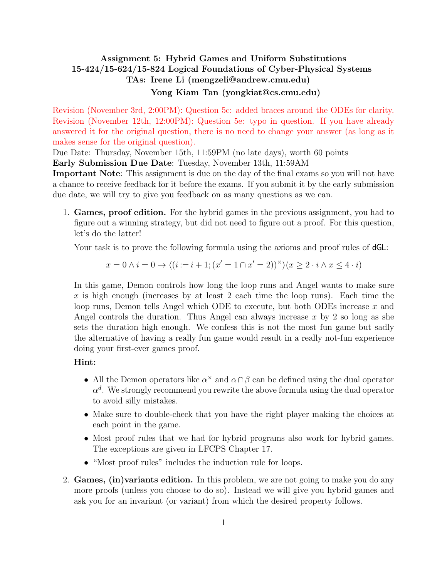## <span id="page-0-0"></span>Assignment 5: Hybrid Games and Uniform Substitutions 15-424/15-624/15-824 Logical Foundations of Cyber-Physical Systems TAs: Irene Li (mengzeli@andrew.cmu.edu) Yong Kiam Tan (yongkiat@cs.cmu.edu)

Revision (November 3rd, 2:00PM): Question 5c: added braces around the ODEs for clarity. Revision (November 12th, 12:00PM): Question 5e: typo in question. If you have already answered it for the original question, there is no need to change your answer (as long as it makes sense for the original question).

Due Date: Thursday, November 15th, 11:59PM (no late days), worth 60 points

Early Submission Due Date: Tuesday, November 13th, 11:59AM

Important Note: This assignment is due on the day of the final exams so you will not have a chance to receive feedback for it before the exams. If you submit it by the early submission due date, we will try to give you feedback on as many questions as we can.

1. Games, proof edition. For the hybrid games in the previous assignment, you had to figure out a winning strategy, but did not need to figure out a proof. For this question, let's do the latter!

Your task is to prove the following formula using the axioms and proof rules of  $dGL$ :

$$
x = 0 \land i = 0 \rightarrow \langle (i := i + 1; (x' = 1 \cap x' = 2))^\times \rangle (x \ge 2 \cdot i \land x \le 4 \cdot i)
$$

In this game, Demon controls how long the loop runs and Angel wants to make sure x is high enough (increases by at least 2 each time the loop runs). Each time the loop runs, Demon tells Angel which ODE to execute, but both ODEs increase x and Angel controls the duration. Thus Angel can always increase  $x$  by 2 so long as she sets the duration high enough. We confess this is not the most fun game but sadly the alternative of having a really fun game would result in a really not-fun experience doing your first-ever games proof.

## Hint:

- All the Demon operators like  $\alpha^{\times}$  and  $\alpha \cap \beta$  can be defined using the dual operator  $\alpha^d$ . We strongly recommend you rewrite the above formula using the dual operator to avoid silly mistakes.
- Make sure to double-check that you have the right player making the choices at each point in the game.
- Most proof rules that we had for hybrid programs also work for hybrid games. The exceptions are given in LFCPS Chapter 17.
- "Most proof rules" includes the induction rule for loops.
- 2. Games, (in)variants edition. In this problem, we are not going to make you do any more proofs (unless you choose to do so). Instead we will give you hybrid games and ask you for an invariant (or variant) from which the desired property follows.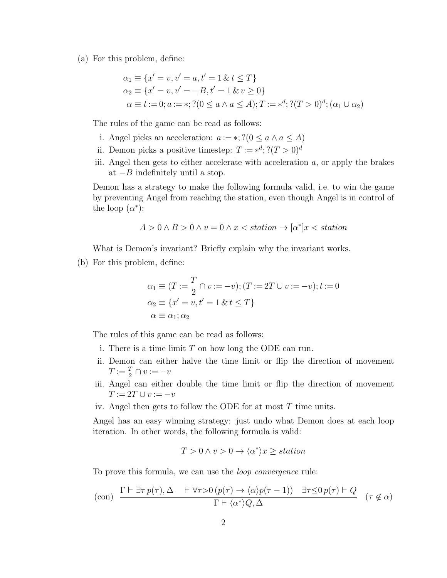(a) For this problem, define:

$$
\alpha_1 \equiv \{x' = v, v' = a, t' = 1 \& t \le T\}
$$
  
\n
$$
\alpha_2 \equiv \{x' = v, v' = -B, t' = 1 \& v \ge 0\}
$$
  
\n
$$
\alpha \equiv t := 0; a := *, ?(0 \le a \land a \le A); T := *^d; ?(T > 0)^d; (\alpha_1 \cup \alpha_2)
$$

The rules of the game can be read as follows:

- i. Angel picks an acceleration:  $a := *, ?(0 \le a \land a \le A)$
- ii. Demon picks a positive timestep:  $T := *^d; ?(T > 0)^d$
- iii. Angel then gets to either accelerate with acceleration  $a$ , or apply the brakes at  $-B$  indefinitely until a stop.

Demon has a strategy to make the following formula valid, i.e. to win the game by preventing Angel from reaching the station, even though Angel is in control of the loop  $(\alpha^*)$ :

$$
A > 0 \land B > 0 \land v = 0 \land x < station \rightarrow [\alpha^*]x < station
$$

What is Demon's invariant? Briefly explain why the invariant works.

(b) For this problem, define:

$$
\alpha_1 \equiv (T := \frac{T}{2} \cap v := -v); (T := 2T \cup v := -v); t := 0
$$
  
\n
$$
\alpha_2 \equiv \{x' = v, t' = 1 \& t \le T\}
$$
  
\n
$$
\alpha \equiv \alpha_1; \alpha_2
$$

The rules of this game can be read as follows:

- i. There is a time limit  $T$  on how long the ODE can run.
- ii. Demon can either halve the time limit or flip the direction of movement  $T := \frac{T}{2} \cap v := -v$
- iii. Angel can either double the time limit or flip the direction of movement  $T := 2T \cup v := -v$

iv. Angel then gets to follow the ODE for at most T time units.

Angel has an easy winning strategy: just undo what Demon does at each loop iteration. In other words, the following formula is valid:

$$
T > 0 \land v > 0 \to \langle \alpha^* \rangle x \geq station
$$

To prove this formula, we can use the *loop convergence* rule:

$$
\text{(con)} \quad \frac{\Gamma \vdash \exists \tau \, p(\tau), \Delta \quad \vdash \forall \tau > 0 \, (p(\tau) \to \langle \alpha \rangle p(\tau - 1)) \quad \exists \tau \leq 0 \, p(\tau) \vdash Q}{\Gamma \vdash \langle \alpha^* \rangle Q, \Delta} \quad (\tau \notin \alpha)
$$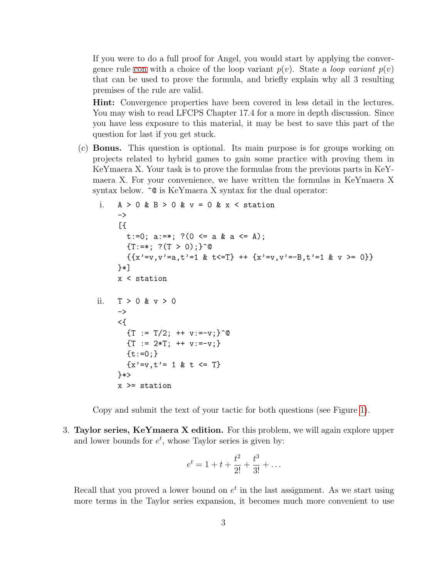If you were to do a full proof for Angel, you would start by applying the convergence rule [con](#page-0-0) with a choice of the loop variant  $p(v)$ . State a *loop variant*  $p(v)$ that can be used to prove the formula, and briefly explain why all 3 resulting premises of the rule are valid.

Hint: Convergence properties have been covered in less detail in the lectures. You may wish to read LFCPS Chapter 17.4 for a more in depth discussion. Since you have less exposure to this material, it may be best to save this part of the question for last if you get stuck.

(c) Bonus. This question is optional. Its main purpose is for groups working on projects related to hybrid games to gain some practice with proving them in KeYmaera X. Your task is to prove the formulas from the previous parts in KeYmaera X. For your convenience, we have written the formulas in KeYmaera X syntax below.  $\hat{\ }$  is KeYmaera X syntax for the dual operator:

```
i. A > 0 & B > 0 & v = 0 & x < station
     \rightarrow[t:=0; a:=*; ?(0 <= a & a <= A);
       {T:=*; ?(T > 0)}; ^{\circ} @
       {x' = v, v' = a, t' = 1 & t < T} + {x' = v, v' = -B, t' = 1 & v > = 0}}*]
     x < station
ii. T > 0 & v > 0
     \rightarrow<{
       {T : = T/2; ++ v:=-v;}^{\circ}{T := 2*T; ++ v:=-v;}{t:=0:}{x' = v, t' = 1 \& t \le T}}*>
     x >= station
```
Copy and submit the text of your tactic for both questions (see Figure [1\)](#page-3-0).

3. Taylor series,  $Ker$  maera X edition. For this problem, we will again explore upper and lower bounds for  $e^t$ , whose Taylor series is given by:

$$
e^t = 1 + t + \frac{t^2}{2!} + \frac{t^3}{3!} + \dots
$$

Recall that you proved a lower bound on  $e^t$  in the last assignment. As we start using more terms in the Taylor series expansion, it becomes much more convenient to use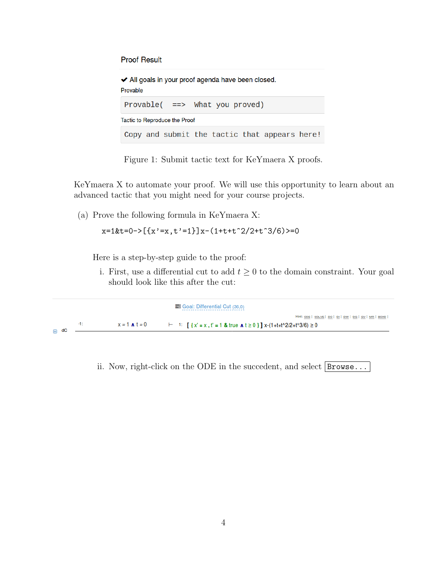**Proof Result** 

◆ All goals in your proof agenda have been closed. Provable Provable( ==> What you proved) Tactic to Reproduce the Proof Copy and submit the tactic that appears here!

<span id="page-3-0"></span>Figure 1: Submit tactic text for KeYmaera X proofs.

KeYmaera X to automate your proof. We will use this opportunity to learn about an advanced tactic that you might need for your course projects.

(a) Prove the following formula in KeYmaera X:

$$
x=1
$$
kt=0->[{x' = x, t' = 1}]x-(1+t+t<sup>2</sup>/2+t<sup>3</sup>/6)>=0

Here is a step-by-step guide to the proof:

i. First, use a differential cut to add  $t \geq 0$  to the domain constraint. Your goal should look like this after the cut:

|                    |                        | Goal: Differential Cut (36.0)                                                                               |
|--------------------|------------------------|-------------------------------------------------------------------------------------------------------------|
|                    |                        | Hint: ODE   SOLVE   DC   DI   DW   DG   GV   MR   BOXD                                                      |
| -11 -<br>$\Box$ dC | $x = 1$ $\bf{A}$ t = 0 | $\vdash$ 1: $\lceil \{x' = x, t' = 1 \& \text{ true } x \mid t \ge 0 \} \rceil$ x-(1+t+t^2/2+t^3/6) $\ge 0$ |

ii. Now, right-click on the ODE in the succedent, and select  $\vert$  Browse...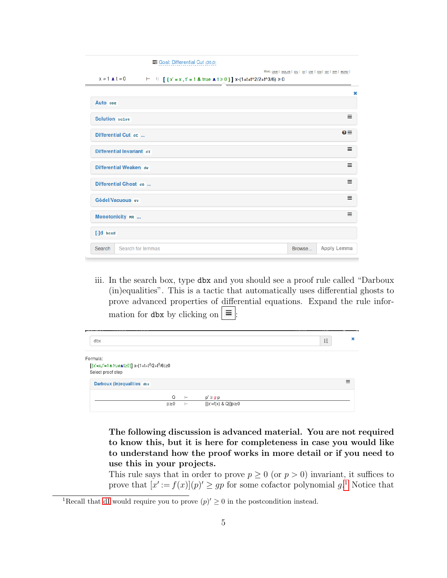| Goal: Differential Cut (36,0)                                                                                       |                                                        |  |  |  |  |
|---------------------------------------------------------------------------------------------------------------------|--------------------------------------------------------|--|--|--|--|
| $x = 1$ $\boldsymbol{\wedge} t = 0$<br>$\vdash$ 1: [{x' = x, t' = 1 & true <b>n</b> t ≥ 0}] x-(1+t+t^2/2+t^3/6) ≥ 0 | Hint: ODE   SOLVE   DC   DI   DW   DG   GV   MR   BOXD |  |  |  |  |
|                                                                                                                     | ×                                                      |  |  |  |  |
| Auto ODE                                                                                                            |                                                        |  |  |  |  |
| <b>Solution</b> solve                                                                                               | Ξ                                                      |  |  |  |  |
| Differential Cut dc                                                                                                 | $\mathbf{0} \equiv$                                    |  |  |  |  |
| Differential Invariant dr                                                                                           | ≡                                                      |  |  |  |  |
| Differential Weaken dw                                                                                              | ≡                                                      |  |  |  |  |
| Differential Ghost de                                                                                               |                                                        |  |  |  |  |
| Gödel/Vacuous GV                                                                                                    |                                                        |  |  |  |  |
| ≡<br>Monotonicity MR                                                                                                |                                                        |  |  |  |  |
| [-]d boxd                                                                                                           |                                                        |  |  |  |  |
| Search for lemmas<br>Search                                                                                         | Apply Lemma<br>Browse                                  |  |  |  |  |

iii. In the search box, type dbx and you should see a proof rule called "Darboux (in)equalities". This is a tactic that automatically uses differential ghosts to prove advanced properties of differential equations. Expand the rule information for dbx by clicking on  $\equiv$ .

| dbx                                                                                                           |          |                        | $L^{\rm Z}_{\rm A}$ | × |
|---------------------------------------------------------------------------------------------------------------|----------|------------------------|---------------------|---|
| Formula:<br>$[x'=x,t'=1 \text{ A } true \text{ A } t \ge 0]$ $x-(1+t+t^2/2+t^3/6) \ge 0$<br>Select proof step |          |                        |                     |   |
| Darboux (in)equalities dbx                                                                                    |          |                        |                     | Ξ |
| Q                                                                                                             | $\vdash$ | $p' \geq g p$          |                     |   |
| $p\ge 0$                                                                                                      | $\vdash$ | [{x'=f(x) & Q}] $p$ ≳0 |                     |   |

The following discussion is advanced material. You are not required to know this, but it is here for completeness in case you would like to understand how the proof works in more detail or if you need to use this in your projects.

This rule says that in order to prove  $p \geq 0$  (or  $p > 0$ ) invariant, it suffices to prove that  $[x' := f(x)](p)' \geq gp$  for some cofactor polynomial  $g<sup>1</sup>$  $g<sup>1</sup>$  $g<sup>1</sup>$  Notice that

<span id="page-4-0"></span><sup>&</sup>lt;sup>1</sup>Recall that [dI](#page-0-0) would require you to prove  $(p)' \geq 0$  in the postcondition instead.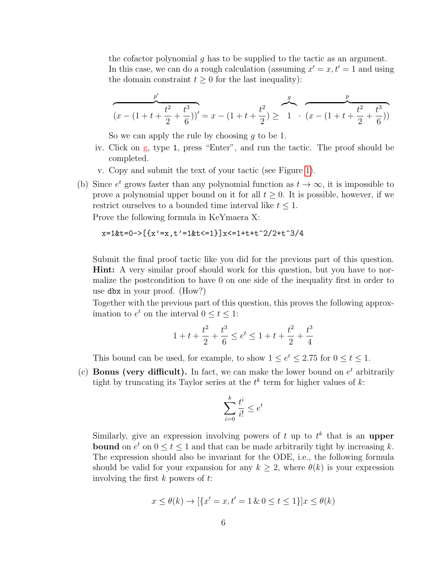the cofactor polynomial g has to be supplied to the tactic as an argument. In this case, we can do a rough calculation (assuming  $x' = x, t' = 1$  and using the domain constraint  $t \geq 0$  for the last inequality):

$$
\overbrace{(x - (1 + t + \frac{t^2}{2} + \frac{t^3}{6}))'}^{p'} = x - (1 + t + \frac{t^2}{2}) \geq 1 \cdot \overbrace{(x - (1 + t + \frac{t^2}{2} + \frac{t^3}{6}))}^{p}
$$

So we can apply the rule by choosing  $q$  to be 1.

- iv. Click on g, type 1, press "Enter", and run the tactic. The proof should be completed.
- v. Copy and submit the text of your tactic (see Figure [1\)](#page-3-0).
- (b) Since  $e^t$  grows faster than any polynomial function as  $t \to \infty$ , it is impossible to prove a polynomial upper bound on it for all  $t \geq 0$ . It is possible, however, if we restrict ourselves to a bounded time interval like  $t \leq 1$ .

Prove the following formula in KeYmaera X:

$$
x=1
$$
 &t=0->[[x' = x, t' = 1  
 &t<=1}]x<=1+t+t^2/2+t^3/4

Submit the final proof tactic like you did for the previous part of this question. Hint: A very similar proof should work for this question, but you have to normalize the postcondition to have 0 on one side of the inequality first in order to use dbx in your proof. (How?)

Together with the previous part of this question, this proves the following approximation to  $e^t$  on the interval  $0 \le t \le 1$ :

$$
1 + t + \frac{t^2}{2} + \frac{t^3}{6} \le e^t \le 1 + t + \frac{t^2}{2} + \frac{t^3}{4}
$$

This bound can be used, for example, to show  $1 \le e^t \le 2.75$  for  $0 \le t \le 1$ .

(c) **Bonus (very difficult).** In fact, we can make the lower bound on  $e^t$  arbitrarily tight by truncating its Taylor series at the  $t^k$  term for higher values of  $k$ :

$$
\sum_{i=0}^k \frac{t^i}{i!} \leq e^t
$$

Similarly, give an expression involving powers of  $t$  up to  $t^k$  that is an upper **bound** on  $e^t$  on  $0 \le t \le 1$  and that can be made arbitrarily tight by increasing k. The expression should also be invariant for the ODE, i.e., the following formula should be valid for your expansion for any  $k \geq 2$ , where  $\theta(k)$  is your expression involving the first  $k$  powers of  $t$ :

$$
x \le \theta(k) \to [\{x' = x, t' = 1 \& 0 \le t \le 1\}]x \le \theta(k)
$$